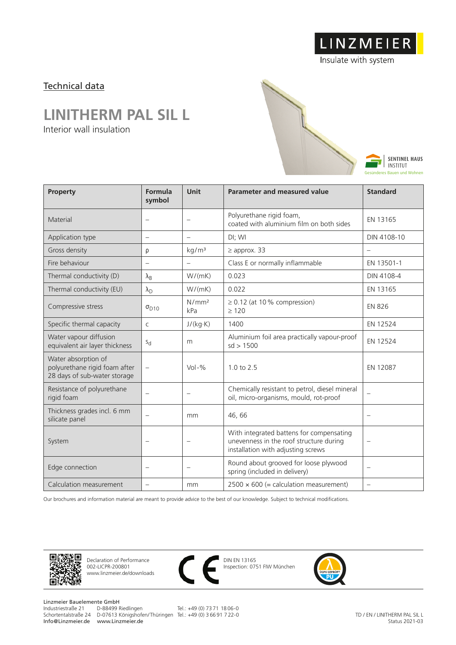LINZMEIER

Insulate with system

### Technical data

## **LINITHERM PAL SIL L**

Interior wall insulation



| <b>Property</b>                                                                      | Formula<br>symbol        | Unit                     | <b>Parameter and measured value</b>                                                                                       | <b>Standard</b>          |
|--------------------------------------------------------------------------------------|--------------------------|--------------------------|---------------------------------------------------------------------------------------------------------------------------|--------------------------|
| Material                                                                             | $\overline{\phantom{0}}$ | $\overline{\phantom{0}}$ | Polyurethane rigid foam,<br>coated with aluminium film on both sides                                                      | EN 13165                 |
| Application type                                                                     | $\overline{\phantom{0}}$ | $\qquad \qquad -$        | DI; WI                                                                                                                    | DIN 4108-10              |
| Gross density                                                                        | ρ                        | kg/m <sup>3</sup>        | $\geq$ approx. 33                                                                                                         |                          |
| Fire behaviour                                                                       | $\overline{\phantom{0}}$ | $\overline{\phantom{m}}$ | Class E or normally inflammable                                                                                           | EN 13501-1               |
| Thermal conductivity (D)                                                             | $\lambda_{\rm B}$        | W/(mK)                   | 0.023                                                                                                                     | DIN 4108-4               |
| Thermal conductivity (EU)                                                            | $\lambda_{\rm D}$        | W/(mK)                   | 0.022                                                                                                                     | EN 13165                 |
| Compressive stress                                                                   | $\sigma_{D10}$           | N/mm <sup>2</sup><br>kPa | $\geq$ 0.12 (at 10% compression)<br>$\geq 120$                                                                            | <b>EN 826</b>            |
| Specific thermal capacity                                                            | C                        | J/(kg·K)                 | 1400                                                                                                                      | EN 12524                 |
| Water vapour diffusion<br>equivalent air layer thickness                             | $S_{d}$                  | m                        | Aluminium foil area practically vapour-proof<br>sd > 1500                                                                 | EN 12524                 |
| Water absorption of<br>polyurethane rigid foam after<br>28 days of sub-water storage | $\equiv$                 | $Vol - %$                | 1.0 to 2.5                                                                                                                | EN 12087                 |
| Resistance of polyurethane<br>rigid foam                                             | $\overline{\phantom{0}}$ | $\overline{\phantom{0}}$ | Chemically resistant to petrol, diesel mineral<br>oil, micro-organisms, mould, rot-proof                                  |                          |
| Thickness grades incl. 6 mm<br>silicate panel                                        | $\overline{\phantom{m}}$ | mm                       | 46,66                                                                                                                     | $\qquad \qquad -$        |
| System                                                                               | $\overline{\phantom{0}}$ | $\overline{\phantom{0}}$ | With integrated battens for compensating<br>unevenness in the roof structure during<br>installation with adjusting screws |                          |
| Edge connection                                                                      | $\overline{\phantom{0}}$ | $\overline{\phantom{m}}$ | Round about grooved for loose plywood<br>spring (included in delivery)                                                    |                          |
| Calculation measurement                                                              | $\overline{\phantom{0}}$ | mm                       | $2500 \times 600$ (= calculation measurement)                                                                             | $\overline{\phantom{0}}$ |

Our brochures and information material are meant to provide advice to the best of our knowledge. Subject to technical modifications.



Declaration of Performance 002-LICPR-200801 www.linzmeier.de/downloads



DIN EN 13165 Inspection: 0751 FIW München



Linzmeier Bauelemente GmbH<br>Industriestraße 21 D-88499 Riedlingen Schortentalstraße 24 D-07613 Königshofen/ Thüringen Tel.: +49 (0) 3 66 91 7 22-0 Info@Linzmeier.de www.Linzmeier.de

Tel.: +49 (0) 73 71 18 06-0

TD / EN / LINITHERM PAL SIL L Status 2021-03